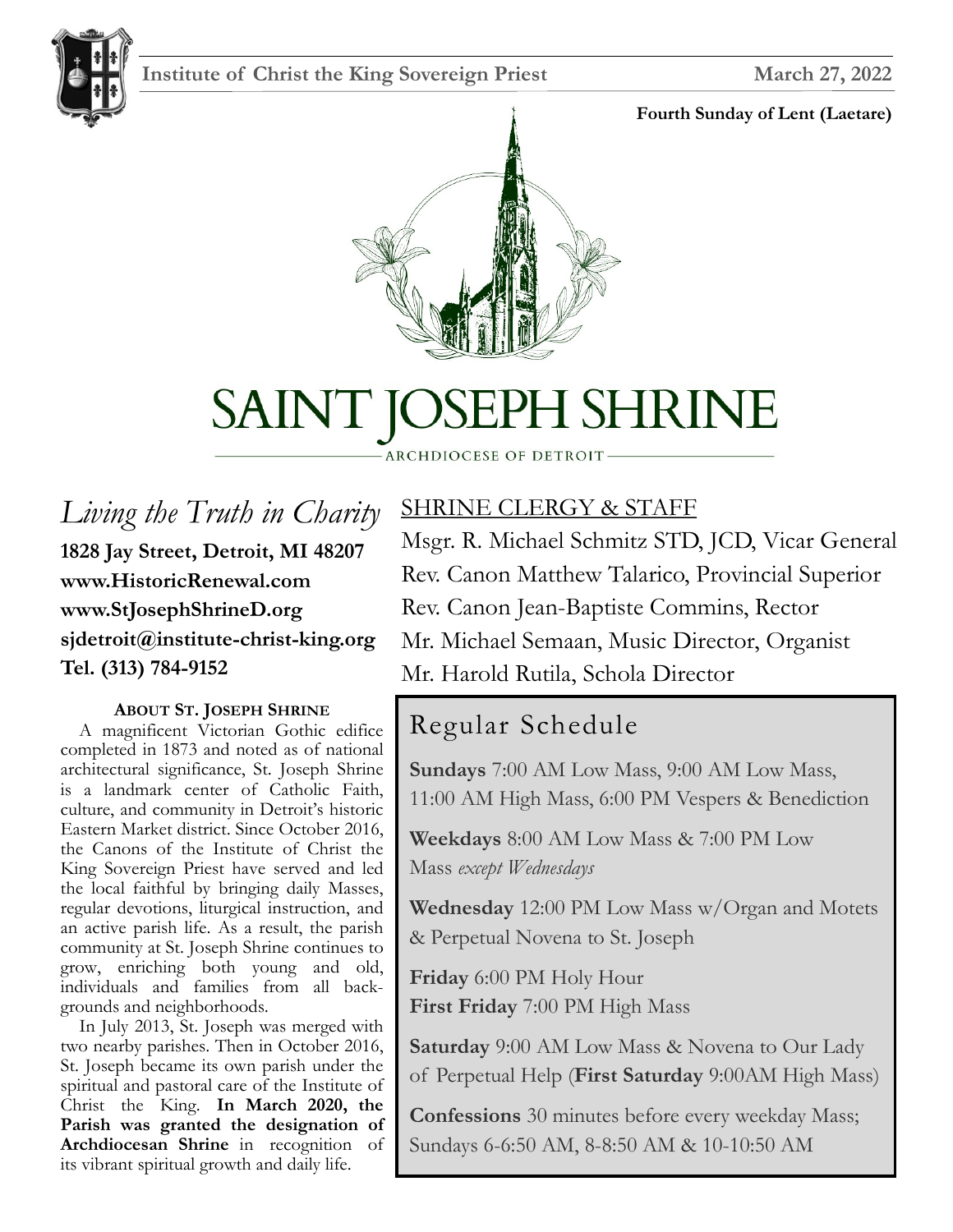### **Institute of Christ the King Sovereign Priest March 27, 2022**



#### **Fourth Sunday of Lent (Laetare)**



# SAINT JOSEPH SHRINE

#### ARCHDIOCESE OF DETROIT

*Living the Truth in Charity* **1828 Jay Street, Detroit, MI 48207 www.HistoricRenewal.com www.StJosephShrineD.org sjdetroit@institute-christ-king.org Tel. (313) 784-9152**

#### **ABOUT ST. JOSEPH SHRINE**

 A magnificent Victorian Gothic edifice completed in 1873 and noted as of national architectural significance, St. Joseph Shrine is a landmark center of Catholic Faith, culture, and community in Detroit's historic Eastern Market district. Since October 2016, the Canons of the Institute of Christ the King Sovereign Priest have served and led the local faithful by bringing daily Masses, regular devotions, liturgical instruction, and an active parish life. As a result, the parish community at St. Joseph Shrine continues to grow, enriching both young and old, individuals and families from all backgrounds and neighborhoods.

 In July 2013, St. Joseph was merged with two nearby parishes. Then in October 2016, St. Joseph became its own parish under the spiritual and pastoral care of the Institute of Christ the King. **In March 2020, the Parish was granted the designation of Archdiocesan Shrine** in recognition of its vibrant spiritual growth and daily life.

# SHRINE CLERGY & STAFF

Msgr. R. Michael Schmitz STD, JCD, Vicar General Rev. Canon Matthew Talarico, Provincial Superior Rev. Canon Jean-Baptiste Commins, Rector Mr. Michael Semaan, Music Director, Organist Mr. Harold Rutila, Schola Director

# Regular Schedule

**Sundays** 7:00 AM Low Mass, 9:00 AM Low Mass, 11:00 AM High Mass, 6:00 PM Vespers & Benediction

**Weekdays** 8:00 AM Low Mass & 7:00 PM Low Mass *except Wednesdays*

**Wednesday** 12:00 PM Low Mass w/Organ and Motets & Perpetual Novena to St. Joseph

**Friday** 6:00 PM Holy Hour **First Friday** 7:00 PM High Mass

**Saturday** 9:00 AM Low Mass & Novena to Our Lady of Perpetual Help (**First Saturday** 9:00AM High Mass)

**Confessions** 30 minutes before every weekday Mass; Sundays 6-6:50 AM, 8-8:50 AM & 10-10:50 AM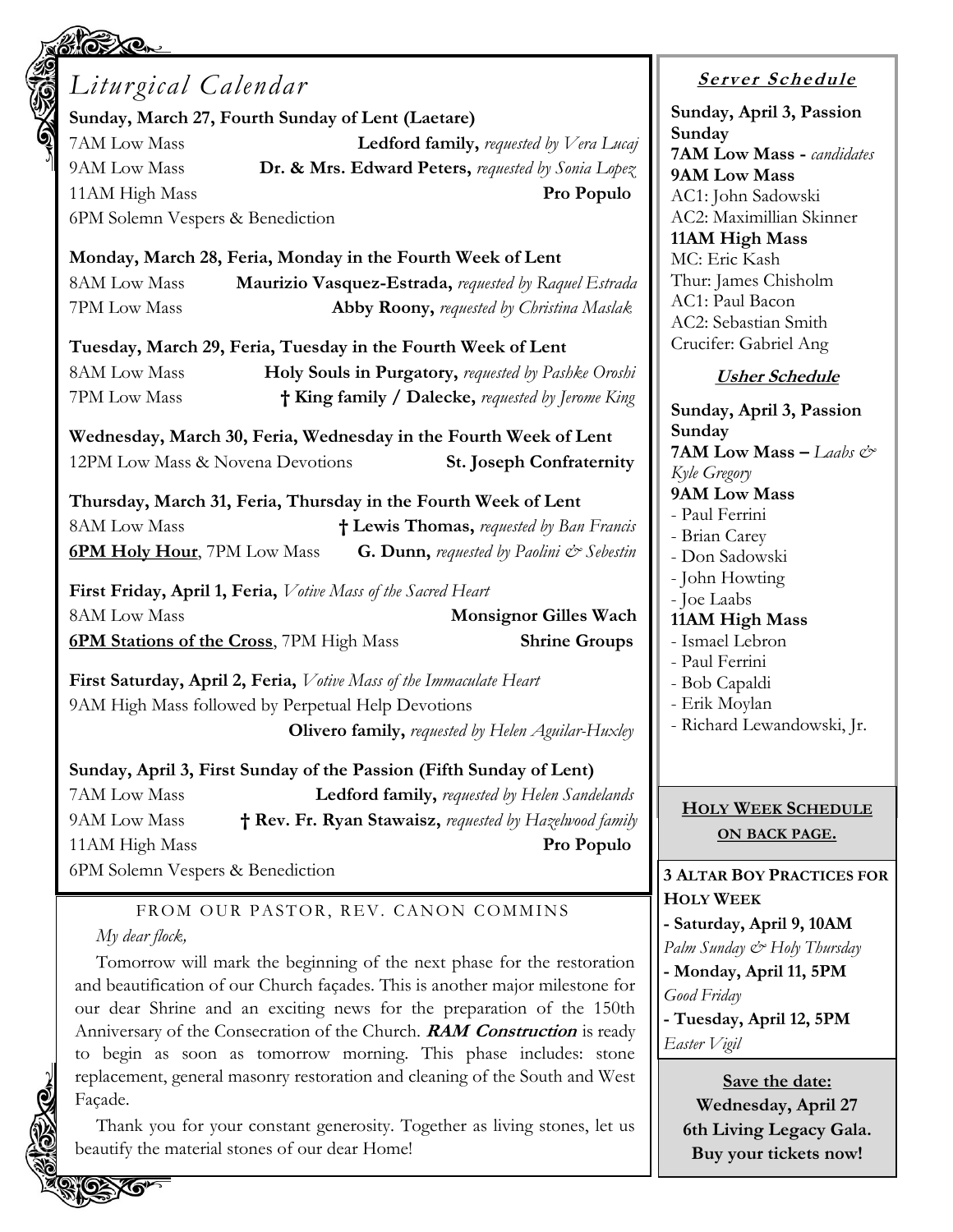# **Sunday** *Liturgical Calendar* **Sunday, March 27, Fourth Sunday of Lent (Laetare)** 7AM Low Mass **Ledford family,** *requested by Vera Lucaj* 9AM Low Mass **Dr. & Mrs. Edward Peters,** *requested by Sonia Lopez* 11AM High Mass **Pro Populo** 6PM Solemn Vespers & Benediction **Monday, March 28, Feria, Monday in the Fourth Week of Lent** 8AM Low Mass **Maurizio Vasquez-Estrada,** *requested by Raquel Estrada* 7PM Low Mass **Abby Roony,** *requested by Christina Maslak* **Tuesday, March 29, Feria, Tuesday in the Fourth Week of Lent** 8AM Low Mass **Holy Souls in Purgatory,** *requested by Pashke Oroshi* 7PM Low Mass **† King family / Dalecke,** *requested by Jerome King* **Wednesday, March 30, Feria, Wednesday in the Fourth Week of Lent** 12PM Low Mass & Novena Devotions **St. Joseph Confraternity Thursday, March 31, Feria, Thursday in the Fourth Week of Lent** 8AM Low Mass **† Lewis Thomas,** *requested by Ban Francis* **6PM Holy Hour**, 7PM Low Mass **G. Dunn,** *requested by Paolini & Sebestin* **First Friday, April 1, Feria,** *Votive Mass of the Sacred Heart* 8AM Low Mass **Monsignor Gilles Wach 6PM Stations of the Cross**, 7PM High Mass **Shrine Groups First Saturday, April 2, Feria,** *Votive Mass of the Immaculate Heart* 9AM High Mass followed by Perpetual Help Devotions **Olivero family,** *requested by Helen Aguilar-Huxley* **Sunday, April 3, First Sunday of the Passion (Fifth Sunday of Lent)**

7AM Low Mass **Ledford family,** *requested by Helen Sandelands* 9AM Low Mass **† Rev. Fr. Ryan Stawaisz,** *requested by Hazelwood family* 11AM High Mass **Pro Populo** 6PM Solemn Vespers & Benediction

#### FROM OUR PASTOR, REV. CANON COMMINS *My dear flock,*

Tomorrow will mark the beginning of the next phase for the restoration and beautification of our Church façades. This is another major milestone for our dear Shrine and an exciting news for the preparation of the 150th Anniversary of the Consecration of the Church. **RAM Construction** is ready to begin as soon as tomorrow morning. This phase includes: stone replacement, general masonry restoration and cleaning of the South and West Façade.

Thank you for your constant generosity. Together as living stones, let us beautify the material stones of our dear Home!

# **<sup>S</sup> <sup>e</sup> rv er <sup>S</sup> <sup>c</sup> he du le**

**Sunday, April 3, Passion Sunday 7AM Low Mass -** *candidates* **9AM Low Mass** AC1: John Sadowski AC2: Maximillian Skinner **11AM High Mass** MC: Eric Kash Thur: James Chisholm AC1: Paul Bacon AC2: Sebastian Smith Crucifer: Gabriel Ang

### **Usher Schedule**

**Sunday, April 3, Passion 7AM Low Mass –** *Laabs & Kyle Gregory* **9AM Low Mass** - Paul Ferrini - Brian Carey - Don Sadowski - John Howting - Joe Laabs **11AM High Mass** - Ismael Lebron - Paul Ferrini - Bob Capaldi - Erik Moylan - Richard Lewandowski, Jr.

#### **HOLY WEEK SCHEDULE ON BACK PAGE.**

#### **3 ALTAR BOY PRACTICES FOR HOLY WEEK - Saturday, April 9, 10AM** *Palm Sunday & Holy Thursday* **- Monday, April 11, 5PM**  *Good Friday* **- Tuesday, April 12, 5PM**  *Easter Vigil*

**Save the date: Wednesday, April 27 6th Living Legacy Gala. Buy your tickets now!**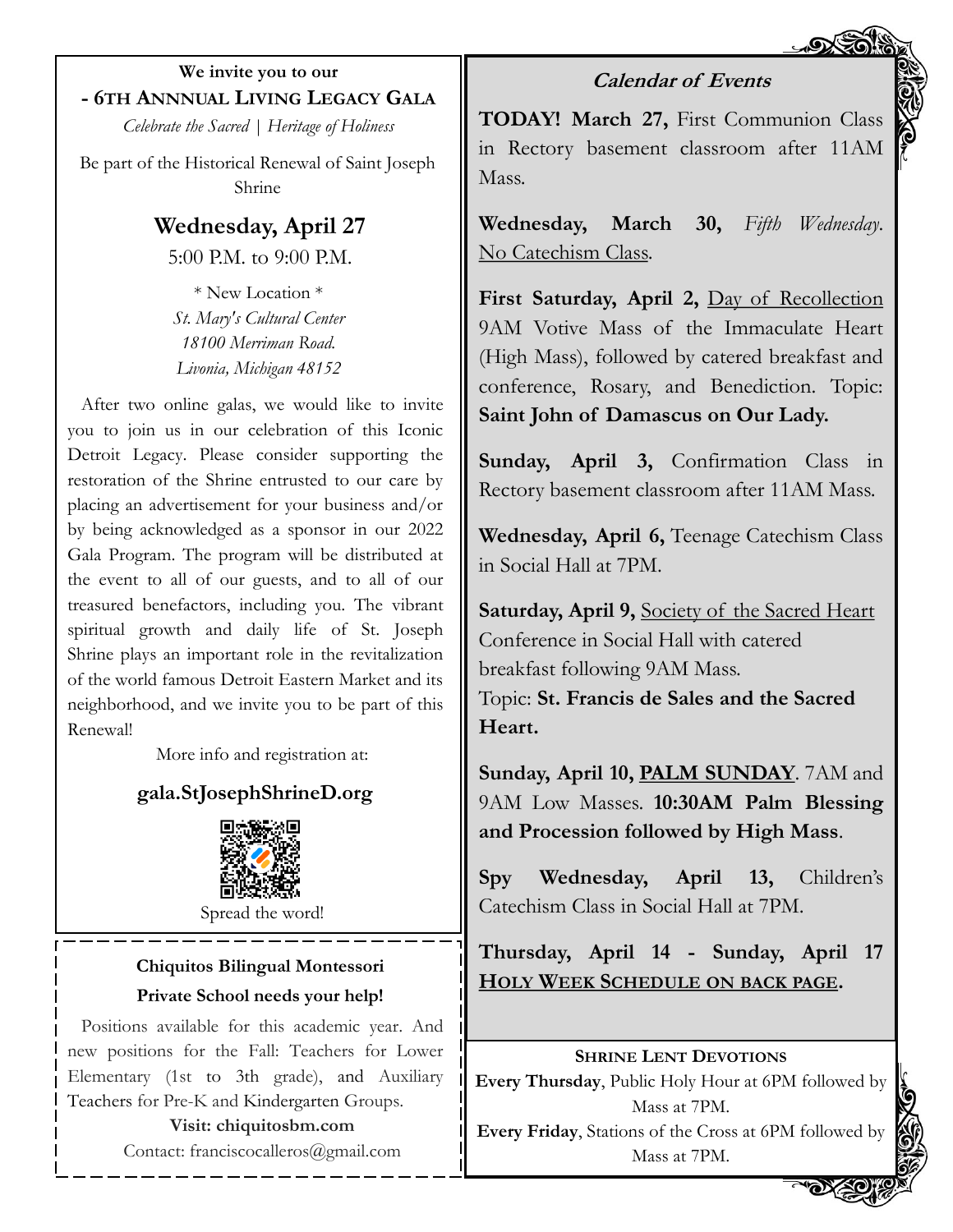**We invite you to our - 6TH ANNNUAL LIVING LEGACY GALA**

*Celebrate the Sacred | Heritage of Holiness*

Be part of the Historical Renewal of Saint Joseph Shrine

> **Wednesday, April 27** 5:00 P.M. to 9:00 P.M.

\* New Location \* *St. Mary's Cultural Center 18100 Merriman Road. Livonia, Michigan 48152*

After two online galas, we would like to invite you to join us in our celebration of this Iconic Detroit Legacy. Please consider supporting the restoration of the Shrine entrusted to our care by placing an advertisement for your business and/or by being acknowledged as a sponsor in our 2022 Gala Program. The program will be distributed at the event to all of our guests, and to all of our treasured benefactors, including you. The vibrant spiritual growth and daily life of St. Joseph Shrine plays an important role in the revitalization of the world famous Detroit Eastern Market and its neighborhood, and we invite you to be part of this Renewal!

More info and registration at:

## **gala.StJosephShrineD.org**



Spread the word!

#### **Chiquitos Bilingual Montessori Private School needs your help!**

Positions available for this academic year. And new positions for the Fall: Teachers for Lower Elementary (1st to 3th grade), and Auxiliary Teachers for Pre-K and Kindergarten Groups.

## **Visit: chiquitosbm.com**

Contact: franciscocalleros@gmail.com

**TODAY! March 27,** First Communion Class in Rectory basement classroom after 11AM Mass.

**Calendar of Events**

**Wednesday, March 30,** *Fifth Wednesday*. No Catechism Class.

**First Saturday, April 2,** Day of Recollection 9AM Votive Mass of the Immaculate Heart (High Mass), followed by catered breakfast and conference, Rosary, and Benediction. Topic: **Saint John of Damascus on Our Lady.**

**Sunday, April 3,** Confirmation Class in Rectory basement classroom after 11AM Mass.

**Wednesday, April 6,** Teenage Catechism Class in Social Hall at 7PM.

**Saturday, April 9,** Society of the Sacred Heart Conference in Social Hall with catered breakfast following 9AM Mass. Topic: **St. Francis de Sales and the Sacred Heart.**

**Sunday, April 10, PALM SUNDAY**. 7AM and 9AM Low Masses. **10:30AM Palm Blessing and Procession followed by High Mass**.

**Spy Wednesday, April 13,** Children's Catechism Class in Social Hall at 7PM.

**Thursday, April 14 - Sunday, April 17 HOLY WEEK SCHEDULE ON BACK PAGE.** 

#### **SHRINE LENT DEVOTIONS**

**Every Thursday**, Public Holy Hour at 6PM followed by Mass at 7PM.

**Every Friday**, Stations of the Cross at 6PM followed by Mass at 7PM.